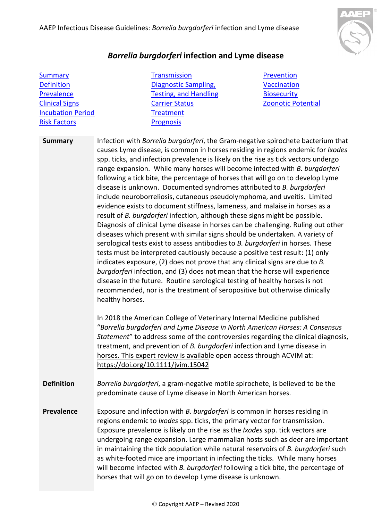

## *Borrelia burgdorferi* **infection and Lyme disease**

| <b>Summary</b>           |
|--------------------------|
| <b>Definition</b>        |
| Prevalence               |
| <b>Clinical Signs</b>    |
| <b>Incubation Period</b> |
| <b>Risk Factors</b>      |

**[Transmission](#page-1-3)** [Diagnostic Sampling,](#page-1-4)  [Testing, and Handling](#page-1-4) [Carrier Status](#page-3-0) **[Treatment](#page-3-1)** [Prognosis](#page-3-2)

[Prevention](#page-3-3) **[Vaccination](#page-3-4) [Biosecurity](#page-3-5)** [Zoonotic Potential](#page-4-0)

<span id="page-0-0"></span>**Summary** Infection with *Borrelia burgdorferi*, the Gram-negative spirochete bacterium that causes Lyme disease, is common in horses residing in regions endemic for *Ixodes* spp. ticks, and infection prevalence is likely on the rise as tick vectors undergo range expansion. While many horses will become infected with *B. burgdorferi* following a tick bite, the percentage of horses that will go on to develop Lyme disease is unknown. Documented syndromes attributed to *B. burgdorferi* include neuroborreliosis, cutaneous pseudolymphoma, and uveitis. Limited evidence exists to document stiffness, lameness, and malaise in horses as a result of *B. burgdorferi* infection, although these signs might be possible. Diagnosis of clinical Lyme disease in horses can be challenging. Ruling out other diseases which present with similar signs should be undertaken. A variety of serological tests exist to assess antibodies to *B. burgdorferi* in horses. These tests must be interpreted cautiously because a positive test result: (1) only indicates exposure, (2) does not prove that any clinical signs are due to *B. burgdorferi* infection, and (3) does not mean that the horse will experience disease in the future. Routine serological testing of healthy horses is not recommended, nor is the treatment of seropositive but otherwise clinically healthy horses.

> In 2018 the American College of Veterinary Internal Medicine published "*Borrelia burgdorferi and Lyme Disease in North American Horses: A Consensus Statement*" to address some of the controversies regarding the clinical diagnosis, treatment, and prevention of *B. burgdorferi* infection and Lyme disease in horses. This expert review is available open access through ACVIM at: [https://doi.org/10.1111/jvim.15042](about:blank)

<span id="page-0-1"></span>**Definition** *Borrelia burgdorferi*, a gram-negative motile spirochete, is believed to be the predominate cause of Lyme disease in North American horses.

<span id="page-0-2"></span>**Prevalence** Exposure and infection with *B. burgdorferi* is common in horses residing in regions endemic to *Ixodes* spp. ticks, the primary vector for transmission. Exposure prevalence is likely on the rise as the *Ixodes* spp. tick vectors are undergoing range expansion. Large mammalian hosts such as deer are important in maintaining the tick population while natural reservoirs of *B. burgdorferi* such as white-footed mice are important in infecting the ticks. While many horses will become infected with *B. burgdorferi* following a tick bite, the percentage of horses that will go on to develop Lyme disease is unknown.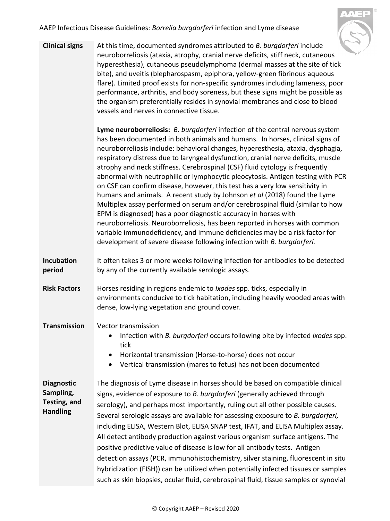AAEP Infectious Disease Guidelines: *Borrelia burgdorferi* infection and Lyme disease



<span id="page-1-0"></span>**Clinical signs** At this time, documented syndromes attributed to *B. burgdorferi* include neuroborreliosis (ataxia, atrophy, cranial nerve deficits, stiff neck, cutaneous hyperesthesia), cutaneous pseudolymphoma (dermal masses at the site of tick bite), and uveitis (blepharospasm, epiphora, yellow-green fibrinous aqueous flare). Limited proof exists for non-specific syndromes including lameness, poor performance, arthritis, and body soreness, but these signs might be possible as the organism preferentially resides in synovial membranes and close to blood vessels and nerves in connective tissue.

> **Lyme neuroborreliosis:** *B. burgdorferi* infection of the central nervous system has been documented in both animals and humans. In horses, clinical signs of neuroborreliosis include: behavioral changes, hyperesthesia, ataxia, dysphagia, respiratory distress due to laryngeal dysfunction, cranial nerve deficits, muscle atrophy and neck stiffness. Cerebrospinal (CSF) fluid cytology is frequently abnormal with neutrophilic or lymphocytic pleocytosis. Antigen testing with PCR on CSF can confirm disease, however, this test has a very low sensitivity in humans and animals. A recent study by Johnson *et al* (2018) found the Lyme Multiplex assay performed on serum and/or cerebrospinal fluid (similar to how EPM is diagnosed) has a poor diagnostic accuracy in horses with neuroborreliosis. Neuroborreliosis, has been reported in horses with common variable immunodeficiency, and immune deficiencies may be a risk factor for development of severe disease following infection with *B. burgdorferi.*

- <span id="page-1-1"></span>**Incubation period** It often takes 3 or more weeks following infection for antibodies to be detected by any of the currently available serologic assays.
- <span id="page-1-2"></span>**Risk Factors** Horses residing in regions endemic to *Ixodes* spp. ticks, especially in environments conducive to tick habitation, including heavily wooded areas with dense, low-lying vegetation and ground cover.
- <span id="page-1-3"></span>**Transmission** Vector transmission
	- Infection with *B. burgdorferi* occurs following bite by infected *Ixodes* spp. tick
	- Horizontal transmission (Horse-to-horse) does not occur
	- Vertical transmission (mares to fetus) has not been documented

<span id="page-1-4"></span>**Diagnostic Sampling, Testing, and Handling** The diagnosis of Lyme disease in horses should be based on compatible clinical signs, evidence of exposure to *B. burgdorferi* (generally achieved through serology), and perhaps most importantly, ruling out all other possible causes. Several serologic assays are available for assessing exposure to *B. burgdorferi,*  including ELISA, Western Blot, ELISA SNAP test, IFAT, and ELISA Multiplex assay. All detect antibody production against various organism surface antigens. The positive predictive value of disease is low for all antibody tests. Antigen detection assays (PCR, immunohistochemistry, silver staining, fluorescent in situ hybridization (FISH)) can be utilized when potentially infected tissues or samples such as skin biopsies, ocular fluid, cerebrospinal fluid, tissue samples or synovial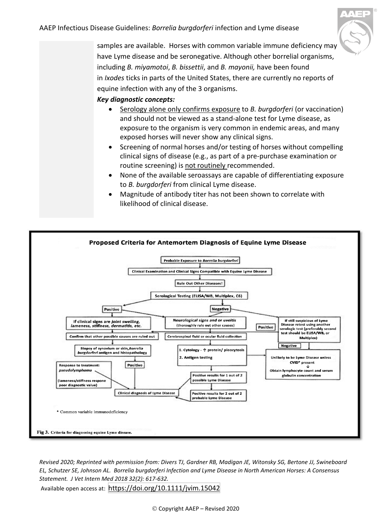

<span id="page-2-0"></span>samples are available. Horses with common variable immune deficiency may have Lyme disease and be seronegative. Although other borrelial organisms, including *B. miyamotoi*, *B. bissettii*, and *B. mayonii,* have been found in *Ixodes* ticks in parts of the United States, there are currently no reports of equine infection with any of the 3 organisms.

## *Key diagnostic concepts:*

- Serology alone only confirms exposure to *B. burgdorferi* (or vaccination) and should not be viewed as a stand-alone test for Lyme disease, as exposure to the organism is very common in endemic areas, and many exposed horses will never show any clinical signs.
- Screening of normal horses and/or testing of horses without compelling clinical signs of disease (e.g., as part of a pre-purchase examination or routine screening) is not routinely recommended.
- None of the available seroassays are capable of differentiating exposure to *B. burgdorferi* from clinical Lyme disease.
- Magnitude of antibody titer has not been shown to correlate with likelihood of clinical disease.



*Revised 2020; Reprinted with permission from: Divers TJ, Gardner RB, Madigan JE, Witonsky SG, Bertone JJ, Swineboard EL, Schutzer SE, Johnson AL. Borrelia burgdorferi Infection and Lyme Disease in North American Horses: A Consensus Statement. J Vet Intern Med 2018 32(2): 617-632.* Available open access at: [https://doi.org/10.1111/jvim.15042](about:blank)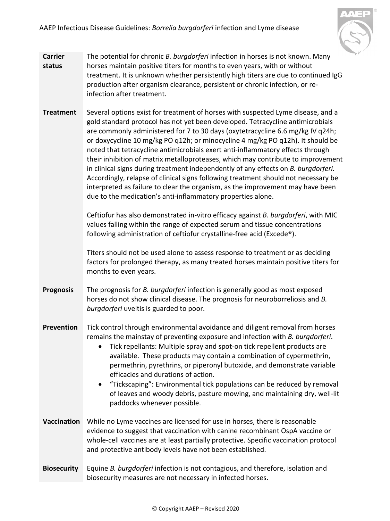AAEP Infectious Disease Guidelines: *Borrelia burgdorferi* infection and Lyme disease



- <span id="page-3-0"></span>**Carrier status** The potential for chronic *B. burgdorferi* infection in horses is not known. Many horses maintain positive titers for months to even years, with or without treatment. It is unknown whether persistently high titers are due to continued IgG production after organism clearance, persistent or chronic infection, or reinfection after treatment.
- <span id="page-3-1"></span>**Treatment** Several options exist for treatment of horses with suspected Lyme disease, and a gold standard protocol has not yet been developed. Tetracycline antimicrobials are commonly administered for 7 to 30 days (oxytetracycline 6.6 mg/kg IV q24h; or doxycycline 10 mg/kg PO q12h; or minocycline 4 mg/kg PO q12h). It should be noted that tetracycline antimicrobials exert anti-inflammatory effects through their inhibition of matrix metalloproteases, which may contribute to improvement in clinical signs during treatment independently of any effects on *B. burgdorferi.* Accordingly, relapse of clinical signs following treatment should not necessary be interpreted as failure to clear the organism, as the improvement may have been due to the medication's anti-inflammatory properties alone.

Ceftiofur has also demonstrated in-vitro efficacy against *B. burgdorferi*, with MIC values falling within the range of expected serum and tissue concentrations following administration of ceftiofur crystalline-free acid (Excede®).

Titers should not be used alone to assess response to treatment or as deciding factors for prolonged therapy, as many treated horses maintain positive titers for months to even years.

- <span id="page-3-2"></span>**Prognosis** The prognosis for *B. burgdorferi* infection is generally good as most exposed horses do not show clinical disease. The prognosis for neuroborreliosis and *B. burgdorferi* uveitis is guarded to poor.
- <span id="page-3-3"></span>**Prevention** Tick control through environmental avoidance and diligent removal from horses remains the mainstay of preventing exposure and infection with *B. burgdorferi*.
	- Tick repellants: Multiple spray and spot-on tick repellent products are available. These products may contain a combination of cypermethrin, permethrin, pyrethrins, or piperonyl butoxide, and demonstrate variable efficacies and durations of action.
	- "Tickscaping": Environmental tick populations can be reduced by removal of leaves and woody debris, pasture mowing, and maintaining dry, well-lit paddocks whenever possible.
- <span id="page-3-4"></span>**Vaccination** While no Lyme vaccines are licensed for use in horses, there is reasonable evidence to suggest that vaccination with canine recombinant OspA vaccine or whole-cell vaccines are at least partially protective. Specific vaccination protocol and protective antibody levels have not been established.
- <span id="page-3-5"></span>**Biosecurity** Equine *B. burgdorferi* infection is not contagious, and therefore, isolation and biosecurity measures are not necessary in infected horses.